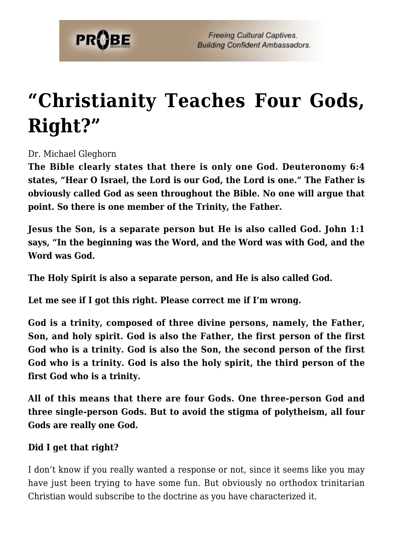

## **["Christianity Teaches Four Gods,](https://probe.org/christianity-teaches-four-gods-right/) [Right?"](https://probe.org/christianity-teaches-four-gods-right/)**

Dr. Michael Gleghorn

**The Bible clearly states that there is only one God. Deuteronomy 6:4 states, "Hear O Israel, the Lord is our God, the Lord is one." The Father is obviously called God as seen throughout the Bible. No one will argue that point. So there is one member of the Trinity, the Father.**

**Jesus the Son, is a separate person but He is also called God. John 1:1 says, "In the beginning was the Word, and the Word was with God, and the Word was God.**

**The Holy Spirit is also a separate person, and He is also called God.**

**Let me see if I got this right. Please correct me if I'm wrong.**

**God is a trinity, composed of three divine persons, namely, the Father, Son, and holy spirit. God is also the Father, the first person of the first God who is a trinity. God is also the Son, the second person of the first God who is a trinity. God is also the holy spirit, the third person of the first God who is a trinity.**

**All of this means that there are four Gods. One three-person God and three single-person Gods. But to avoid the stigma of polytheism, all four Gods are really one God.**

## **Did I get that right?**

I don't know if you really wanted a response or not, since it seems like you may have just been trying to have some fun. But obviously no orthodox trinitarian Christian would subscribe to the doctrine as you have characterized it.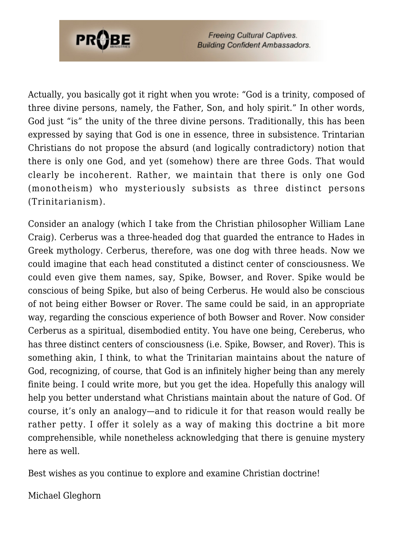

**Freeing Cultural Captives. Building Confident Ambassadors.** 

Actually, you basically got it right when you wrote: "God is a trinity, composed of three divine persons, namely, the Father, Son, and holy spirit." In other words, God just "is" the unity of the three divine persons. Traditionally, this has been expressed by saying that God is one in essence, three in subsistence. Trintarian Christians do not propose the absurd (and logically contradictory) notion that there is only one God, and yet (somehow) there are three Gods. That would clearly be incoherent. Rather, we maintain that there is only one God (monotheism) who mysteriously subsists as three distinct persons (Trinitarianism).

Consider an analogy (which I take from the Christian philosopher William Lane Craig). Cerberus was a three-headed dog that guarded the entrance to Hades in Greek mythology. Cerberus, therefore, was one dog with three heads. Now we could imagine that each head constituted a distinct center of consciousness. We could even give them names, say, Spike, Bowser, and Rover. Spike would be conscious of being Spike, but also of being Cerberus. He would also be conscious of not being either Bowser or Rover. The same could be said, in an appropriate way, regarding the conscious experience of both Bowser and Rover. Now consider Cerberus as a spiritual, disembodied entity. You have one being, Cereberus, who has three distinct centers of consciousness (i.e. Spike, Bowser, and Rover). This is something akin, I think, to what the Trinitarian maintains about the nature of God, recognizing, of course, that God is an infinitely higher being than any merely finite being. I could write more, but you get the idea. Hopefully this analogy will help you better understand what Christians maintain about the nature of God. Of course, it's only an analogy—and to ridicule it for that reason would really be rather petty. I offer it solely as a way of making this doctrine a bit more comprehensible, while nonetheless acknowledging that there is genuine mystery here as well.

Best wishes as you continue to explore and examine Christian doctrine!

Michael Gleghorn